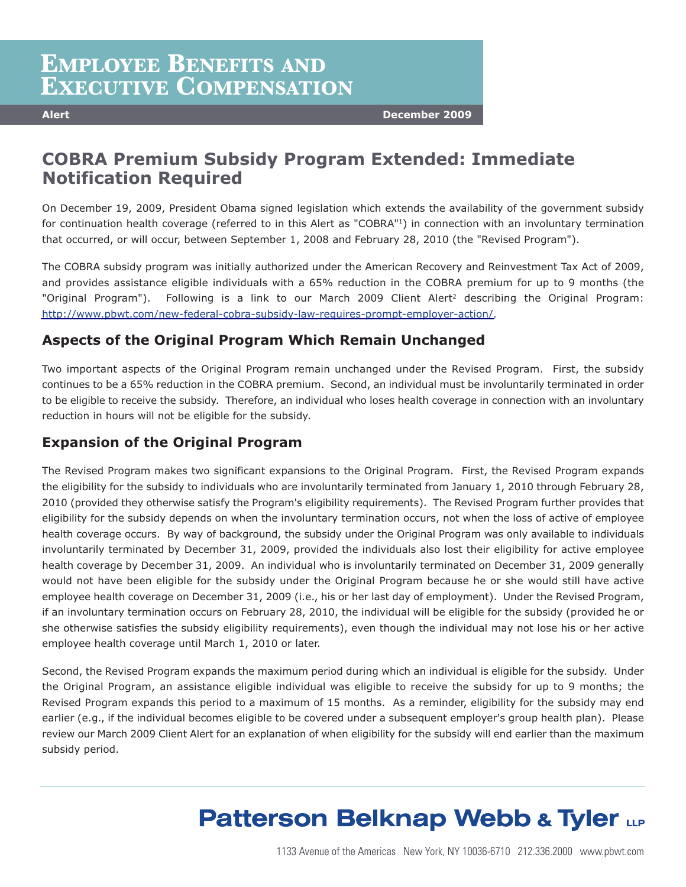## **EMPLOYEE BENEFITS AND EXECUTIVE COMPENSATION**

**Alert December 2009**

### **COBRA Premium Subsidy Program Extended: Immediate Notification Required**

On December 19, 2009, President Obama signed legislation which extends the availability of the government subsidy for continuation health coverage (referred to in this Alert as "COBRA"<sup>1</sup>) in connection with an involuntary termination that occurred, or will occur, between September 1, 2008 and February 28, 2010 (the "Revised Program").

The COBRA subsidy program was initially authorized under the American Recovery and Reinvestment Tax Act of 2009, and provides assistance eligible individuals with a 65% reduction in the COBRA premium for up to 9 months (the "Original Program"). Following is a link to our March 2009 Client Alert<sup>2</sup> describing the Original Program: [http://www.pbwt.com/new-federal-cobra-subsidy-law-requires-prompt-employer-action/.](http://www.pbwt.com/new-federal-cobra-subsidy-law-requires-prompt-employer-action/)

### **Aspects of the Original Program Which Remain Unchanged**

Two important aspects of the Original Program remain unchanged under the Revised Program. First, the subsidy continues to be a 65% reduction in the COBRA premium. Second, an individual must be involuntarily terminated in order to be eligible to receive the subsidy. Therefore, an individual who loses health coverage in connection with an involuntary reduction in hours will not be eligible for the subsidy.

### **Expansion of the Original Program**

The Revised Program makes two significant expansions to the Original Program. First, the Revised Program expands the eligibility for the subsidy to individuals who are involuntarily terminated from January 1, 2010 through February 28, 2010 (provided they otherwise satisfy the Program's eligibility requirements). The Revised Program further provides that eligibility for the subsidy depends on when the involuntary termination occurs, not when the loss of active of employee health coverage occurs. By way of background, the subsidy under the Original Program was only available to individuals involuntarily terminated by December 31, 2009, provided the individuals also lost their eligibility for active employee health coverage by December 31, 2009. An individual who is involuntarily terminated on December 31, 2009 generally would not have been eligible for the subsidy under the Original Program because he or she would still have active employee health coverage on December 31, 2009 (i.e., his or her last day of employment). Under the Revised Program, if an involuntary termination occurs on February 28, 2010, the individual will be eligible for the subsidy (provided he or she otherwise satisfies the subsidy eligibility requirements), even though the individual may not lose his or her active employee health coverage until March 1, 2010 or later.

Second, the Revised Program expands the maximum period during which an individual is eligible for the subsidy. Under the Original Program, an assistance eligible individual was eligible to receive the subsidy for up to 9 months; the Revised Program expands this period to a maximum of 15 months. As a reminder, eligibility for the subsidy may end earlier (e.g., if the individual becomes eligible to be covered under a subsequent employer's group health plan). Please review our March 2009 Client Alert for an explanation of when eligibility for the subsidy will end earlier than the maximum subsidy period.

# **Patterson Belknap Webb & Tyler LLP**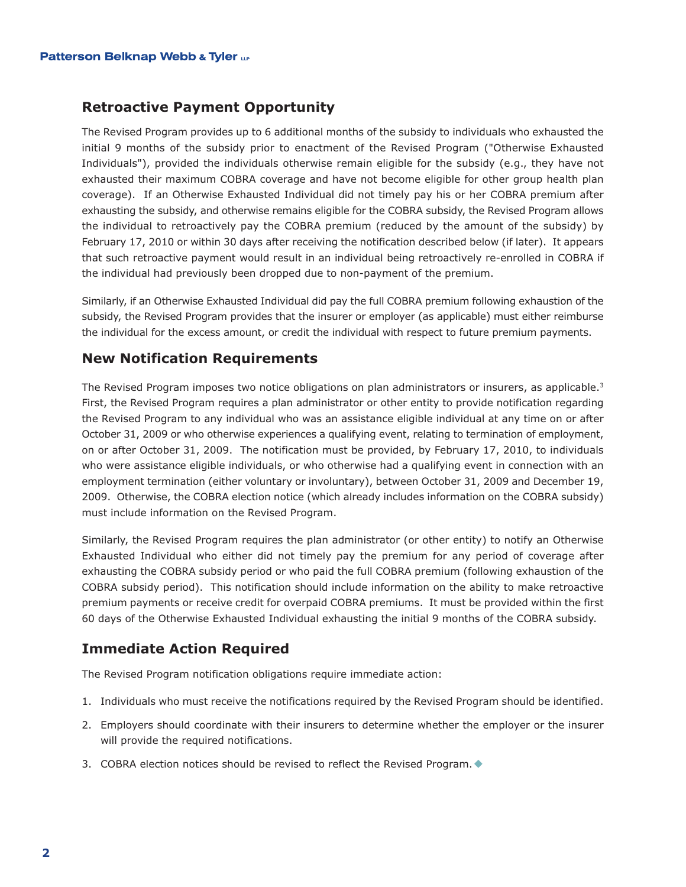#### **Retroactive Payment Opportunity**

The Revised Program provides up to 6 additional months of the subsidy to individuals who exhausted the initial 9 months of the subsidy prior to enactment of the Revised Program ("Otherwise Exhausted Individuals"), provided the individuals otherwise remain eligible for the subsidy (e.g., they have not exhausted their maximum COBRA coverage and have not become eligible for other group health plan coverage). If an Otherwise Exhausted Individual did not timely pay his or her COBRA premium after exhausting the subsidy, and otherwise remains eligible for the COBRA subsidy, the Revised Program allows the individual to retroactively pay the COBRA premium (reduced by the amount of the subsidy) by February 17, 2010 or within 30 days after receiving the notification described below (if later). It appears that such retroactive payment would result in an individual being retroactively re-enrolled in COBRA if the individual had previously been dropped due to non-payment of the premium.

Similarly, if an Otherwise Exhausted Individual did pay the full COBRA premium following exhaustion of the subsidy, the Revised Program provides that the insurer or employer (as applicable) must either reimburse the individual for the excess amount, or credit the individual with respect to future premium payments.

### **New Notification Requirements**

The Revised Program imposes two notice obligations on plan administrators or insurers, as applicable.<sup>3</sup> First, the Revised Program requires a plan administrator or other entity to provide notification regarding the Revised Program to any individual who was an assistance eligible individual at any time on or after October 31, 2009 or who otherwise experiences a qualifying event, relating to termination of employment, on or after October 31, 2009. The notification must be provided, by February 17, 2010, to individuals who were assistance eligible individuals, or who otherwise had a qualifying event in connection with an employment termination (either voluntary or involuntary), between October 31, 2009 and December 19, 2009. Otherwise, the COBRA election notice (which already includes information on the COBRA subsidy) must include information on the Revised Program.

Similarly, the Revised Program requires the plan administrator (or other entity) to notify an Otherwise Exhausted Individual who either did not timely pay the premium for any period of coverage after exhausting the COBRA subsidy period or who paid the full COBRA premium (following exhaustion of the COBRA subsidy period). This notification should include information on the ability to make retroactive premium payments or receive credit for overpaid COBRA premiums. It must be provided within the first 60 days of the Otherwise Exhausted Individual exhausting the initial 9 months of the COBRA subsidy.

### **Immediate Action Required**

The Revised Program notification obligations require immediate action:

- 1. Individuals who must receive the notifications required by the Revised Program should be identified.
- 2. Employers should coordinate with their insurers to determine whether the employer or the insurer will provide the required notifications.
- 3. COBRA election notices should be revised to reflect the Revised Program.  $\blacklozenge$